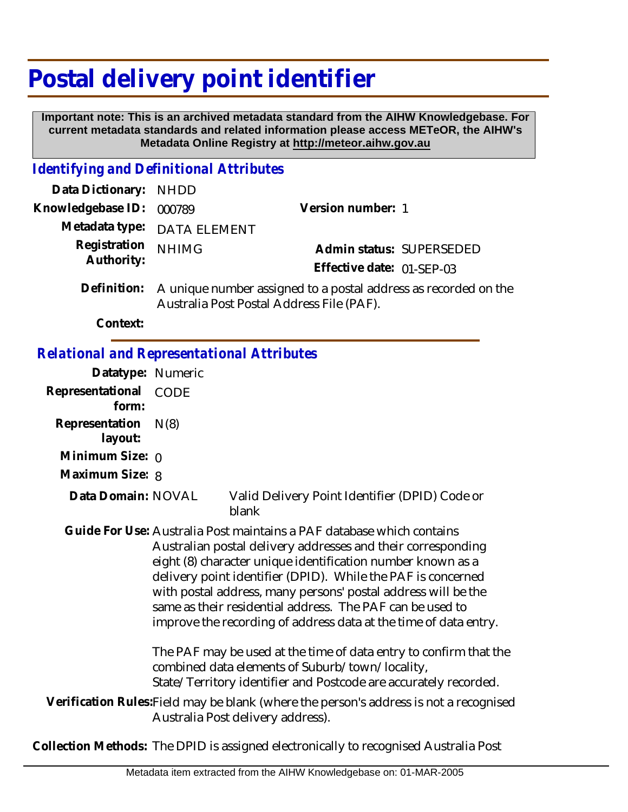# **Postal delivery point identifier**

 **Important note: This is an archived metadata standard from the AIHW Knowledgebase. For current metadata standards and related information please access METeOR, the AIHW's Metadata Online Registry at http://meteor.aihw.gov.au**

### *Identifying and Definitional Attributes*

| Data Dictionary: NHDD    |                                                                         |                           |                          |
|--------------------------|-------------------------------------------------------------------------|---------------------------|--------------------------|
| Knowledgebase ID: 000789 |                                                                         | Version number: 1         |                          |
|                          | Metadata type: DATA ELEMENT                                             |                           |                          |
| Registration NHIMG       |                                                                         |                           | Admin status: SUPERSEDED |
| Authority:               |                                                                         | Effective date: 01-SEP-03 |                          |
|                          | Definition: A unique number assigned to a postal address as recorded or |                           |                          |

A unique number assigned to a postal address as recorded on the Australia Post Postal Address File (PAF). **Definition:**

**Context:**

#### *Relational and Representational Attributes*

| Datatype: Numeric                                                                                                           |                                                                                                                                                                                                                                                                                                                                                                                                                                                                                                                                                                                                                                                                    |                                                         |  |  |
|-----------------------------------------------------------------------------------------------------------------------------|--------------------------------------------------------------------------------------------------------------------------------------------------------------------------------------------------------------------------------------------------------------------------------------------------------------------------------------------------------------------------------------------------------------------------------------------------------------------------------------------------------------------------------------------------------------------------------------------------------------------------------------------------------------------|---------------------------------------------------------|--|--|
| Representational<br>form:                                                                                                   | CODE                                                                                                                                                                                                                                                                                                                                                                                                                                                                                                                                                                                                                                                               |                                                         |  |  |
| Representation<br>layout:                                                                                                   | N(8)                                                                                                                                                                                                                                                                                                                                                                                                                                                                                                                                                                                                                                                               |                                                         |  |  |
| Minimum Size: $\rho$                                                                                                        |                                                                                                                                                                                                                                                                                                                                                                                                                                                                                                                                                                                                                                                                    |                                                         |  |  |
| Maximum Size: 8                                                                                                             |                                                                                                                                                                                                                                                                                                                                                                                                                                                                                                                                                                                                                                                                    |                                                         |  |  |
| Data Domain: NOVAL                                                                                                          |                                                                                                                                                                                                                                                                                                                                                                                                                                                                                                                                                                                                                                                                    | Valid Delivery Point Identifier (DPID) Code or<br>blank |  |  |
|                                                                                                                             | Guide For Use: Australia Post maintains a PAF database which contains<br>Australian postal delivery addresses and their corresponding<br>eight (8) character unique identification number known as a<br>delivery point identifier (DPID). While the PAF is concerned<br>with postal address, many persons' postal address will be the<br>same as their residential address. The PAF can be used to<br>improve the recording of address data at the time of data entry.<br>The PAF may be used at the time of data entry to confirm that the<br>combined data elements of Suburb/town/locality,<br>State/Territory identifier and Postcode are accurately recorded. |                                                         |  |  |
|                                                                                                                             |                                                                                                                                                                                                                                                                                                                                                                                                                                                                                                                                                                                                                                                                    |                                                         |  |  |
| Verification Rules: Field may be blank (where the person's address is not a recognised<br>Australia Post delivery address). |                                                                                                                                                                                                                                                                                                                                                                                                                                                                                                                                                                                                                                                                    |                                                         |  |  |
|                                                                                                                             |                                                                                                                                                                                                                                                                                                                                                                                                                                                                                                                                                                                                                                                                    |                                                         |  |  |

**Collection Methods:** The DPID is assigned electronically to recognised Australia Post